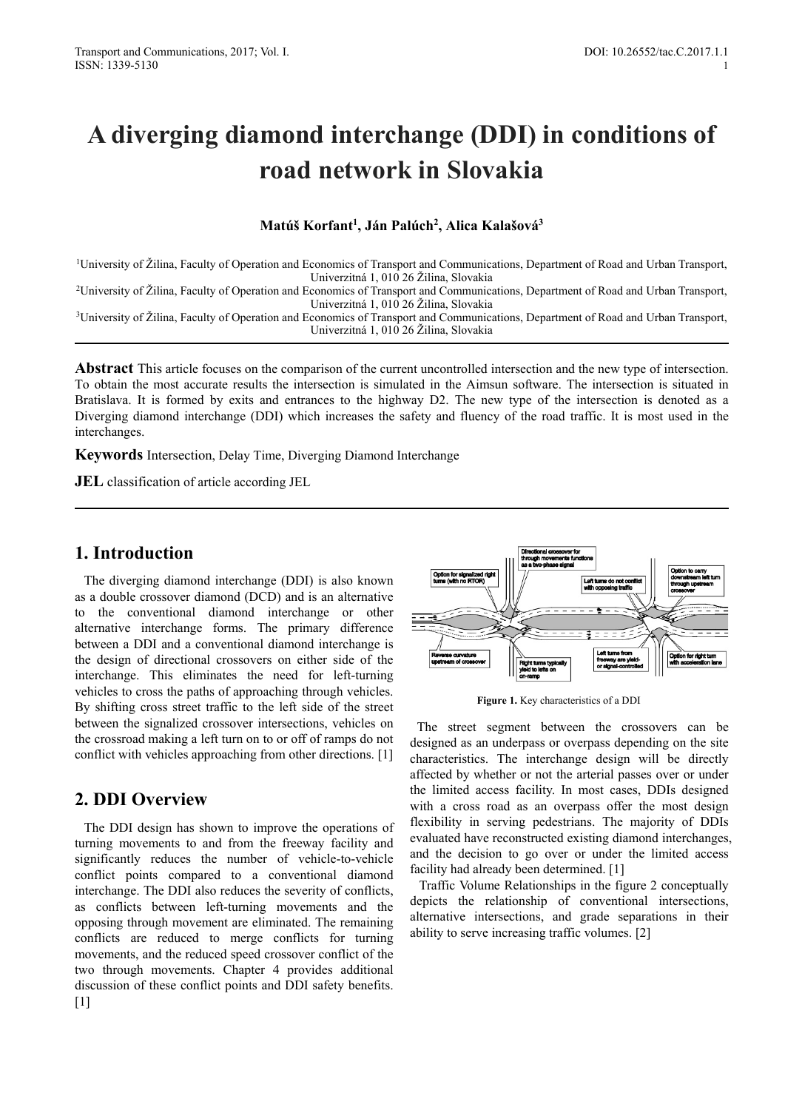# **A diverging diamond interchange (DDI) in conditions of road network in Slovakia**

### **Matúš Korfant1 , Ján Palúch2 , Alica Kalašová3**

1University of Žilina, Faculty of Operation and Economics of Transport and Communications, Department of Road and Urban Transport, Univerzitná 1, 010 26 Žilina, Slovakia<br>20 Zuniversity of Žilina, Faculty of Operation and Economics of Transport and Communications, Department of Road and Urban Transport,

Univerzitná 1, 010 26 Žilina, Slovakia 3University of Žilina, Faculty of Operation and Economics of Transport and Communications, Department of Road and Urban Transport,

Univerzitná 1, 010 26 Žilina, Slovakia

**Abstract** This article focuses on the comparison of the current uncontrolled intersection and the new type of intersection. To obtain the most accurate results the intersection is simulated in the Aimsun software. The intersection is situated in Bratislava. It is formed by exits and entrances to the highway D2. The new type of the intersection is denoted as a Diverging diamond interchange (DDI) which increases the safety and fluency of the road traffic. It is most used in the interchanges.

**Keywords** Intersection, Delay Time, Diverging Diamond Interchange

**JEL** classification of article according JEL

# **1. Introduction**

The diverging diamond interchange (DDI) is also known as a double crossover diamond (DCD) and is an alternative to the conventional diamond interchange or other alternative interchange forms. The primary difference between a DDI and a conventional diamond interchange is the design of directional crossovers on either side of the interchange. This eliminates the need for left-turning vehicles to cross the paths of approaching through vehicles. By shifting cross street traffic to the left side of the street between the signalized crossover intersections, vehicles on the crossroad making a left turn on to or off of ramps do not conflict with vehicles approaching from other directions. [1]

# **2. DDI Overview**

The DDI design has shown to improve the operations of turning movements to and from the freeway facility and significantly reduces the number of vehicle-to-vehicle conflict points compared to a conventional diamond interchange. The DDI also reduces the severity of conflicts, as conflicts between left-turning movements and the opposing through movement are eliminated. The remaining conflicts are reduced to merge conflicts for turning movements, and the reduced speed crossover conflict of the two through movements. Chapter 4 provides additional discussion of these conflict points and DDI safety benefits.  $[1]$ 



**Figure 1.** Key characteristics of a DDI

The street segment between the crossovers can be designed as an underpass or overpass depending on the site characteristics. The interchange design will be directly affected by whether or not the arterial passes over or under the limited access facility. In most cases, DDIs designed with a cross road as an overpass offer the most design flexibility in serving pedestrians. The majority of DDIs evaluated have reconstructed existing diamond interchanges, and the decision to go over or under the limited access facility had already been determined. [1]

Traffic Volume Relationships in the figure 2 conceptually depicts the relationship of conventional intersections, alternative intersections, and grade separations in their ability to serve increasing traffic volumes. [2]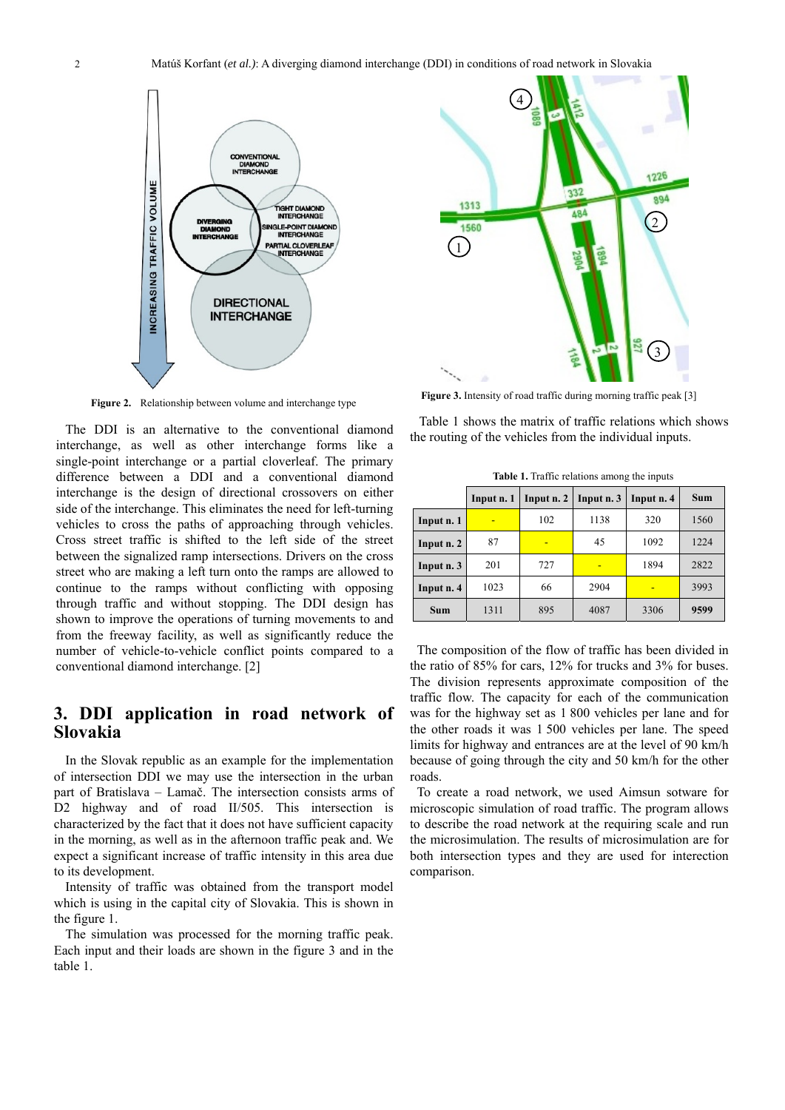

**Figure 2.** Relationship between volume and interchange type

The DDI is an alternative to the conventional diamond interchange, as well as other interchange forms like a single-point interchange or a partial cloverleaf. The primary difference between a DDI and a conventional diamond interchange is the design of directional crossovers on either side of the interchange. This eliminates the need for left-turning vehicles to cross the paths of approaching through vehicles. Cross street traffic is shifted to the left side of the street between the signalized ramp intersections. Drivers on the cross street who are making a left turn onto the ramps are allowed to continue to the ramps without conflicting with opposing through traffic and without stopping. The DDI design has shown to improve the operations of turning movements to and from the freeway facility, as well as significantly reduce the number of vehicle-to-vehicle conflict points compared to a conventional diamond interchange. [2]

## **3. DDI application in road network of Slovakia**

In the Slovak republic as an example for the implementation of intersection DDI we may use the intersection in the urban part of Bratislava – Lamač. The intersection consists arms of D2 highway and of road II/505. This intersection is characterized by the fact that it does not have sufficient capacity in the morning, as well as in the afternoon traffic peak and. We expect a significant increase of traffic intensity in this area due to its development.

Intensity of traffic was obtained from the transport model which is using in the capital city of Slovakia. This is shown in the figure 1.

The simulation was processed for the morning traffic peak. Each input and their loads are shown in the figure 3 and in the table 1.



**Figure 3.** Intensity of road traffic during morning traffic peak [3]

Table 1 shows the matrix of traffic relations which shows the routing of the vehicles from the individual inputs.

**Table 1.** Traffic relations among the inputs

|            | Input n. 1 | Input n. 2 | Input n. 3 | Input n. 4 | Sum  |
|------------|------------|------------|------------|------------|------|
| Input n. 1 |            | 102        | 1138       | 320        | 1560 |
| Input n. 2 | 87         | -          | 45         | 1092       | 1224 |
| Input n. 3 | 201        | 727        |            | 1894       | 2822 |
| Input n. 4 | 1023       | 66         | 2904       |            | 3993 |
| <b>Sum</b> | 1311       | 895        | 4087       | 3306       | 9599 |

The composition of the flow of traffic has been divided in the ratio of 85% for cars, 12% for trucks and 3% for buses. The division represents approximate composition of the traffic flow. The capacity for each of the communication was for the highway set as 1 800 vehicles per lane and for the other roads it was 1 500 vehicles per lane. The speed limits for highway and entrances are at the level of 90 km/h because of going through the city and 50 km/h for the other roads.

To create a road network, we used Aimsun sotware for microscopic simulation of road traffic. The program allows to describe the road network at the requiring scale and run the microsimulation. The results of microsimulation are for both intersection types and they are used for interection comparison.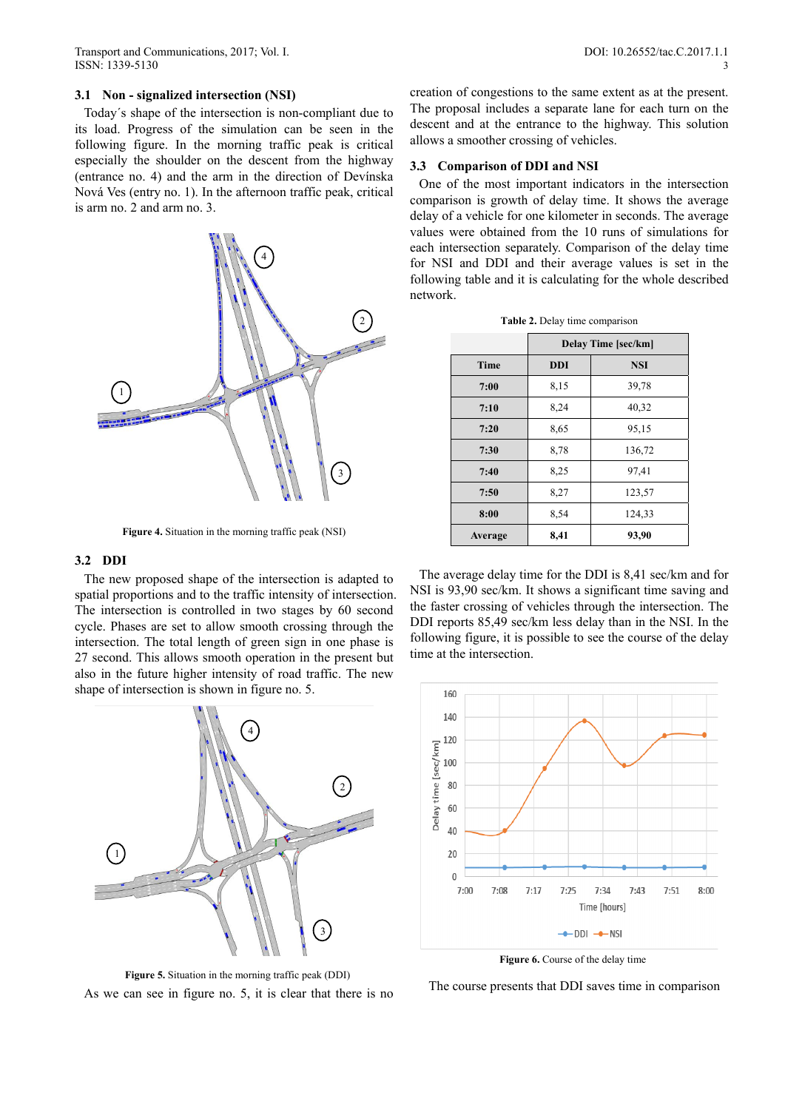#### **3.1 Non - signalized intersection (NSI)**

Today´s shape of the intersection is non-compliant due to its load. Progress of the simulation can be seen in the following figure. In the morning traffic peak is critical especially the shoulder on the descent from the highway (entrance no. 4) and the arm in the direction of Devínska Nová Ves (entry no. 1). In the afternoon traffic peak, critical is arm no. 2 and arm no. 3.



**Figure 4.** Situation in the morning traffic peak (NSI)

#### **3.2 DDI**

The new proposed shape of the intersection is adapted to spatial proportions and to the traffic intensity of intersection. The intersection is controlled in two stages by 60 second cycle. Phases are set to allow smooth crossing through the intersection. The total length of green sign in one phase is 27 second. This allows smooth operation in the present but also in the future higher intensity of road traffic. The new shape of intersection is shown in figure no. 5.



**Figure 5.** Situation in the morning traffic peak (DDI) As we can see in figure no. 5, it is clear that there is no

creation of congestions to the same extent as at the present. The proposal includes a separate lane for each turn on the descent and at the entrance to the highway. This solution allows a smoother crossing of vehicles.

#### **3.3 Comparison of DDI and NSI**

One of the most important indicators in the intersection comparison is growth of delay time. It shows the average delay of a vehicle for one kilometer in seconds. The average values were obtained from the 10 runs of simulations for each intersection separately. Comparison of the delay time for NSI and DDI and their average values is set in the following table and it is calculating for the whole described network.

|  |  | Table 2. Delay time comparison |
|--|--|--------------------------------|
|  |  |                                |

|             | <b>Delay Time [sec/km]</b> |            |  |  |
|-------------|----------------------------|------------|--|--|
| <b>Time</b> | <b>DDI</b>                 | <b>NSI</b> |  |  |
| 7:00        | 8,15                       | 39,78      |  |  |
| 7:10        | 8,24                       | 40,32      |  |  |
| 7:20        | 8,65                       | 95,15      |  |  |
| 7:30        | 8,78                       | 136,72     |  |  |
| 7:40        | 8,25                       | 97,41      |  |  |
| 7:50        | 8,27                       | 123,57     |  |  |
| 8:00        | 8,54                       | 124,33     |  |  |
| Average     | 8,41                       | 93,90      |  |  |

The average delay time for the DDI is 8,41 sec/km and for NSI is 93,90 sec/km. It shows a significant time saving and the faster crossing of vehicles through the intersection. The DDI reports 85,49 sec/km less delay than in the NSI. In the following figure, it is possible to see the course of the delay time at the intersection.



Figure 6. Course of the delay time

The course presents that DDI saves time in comparison